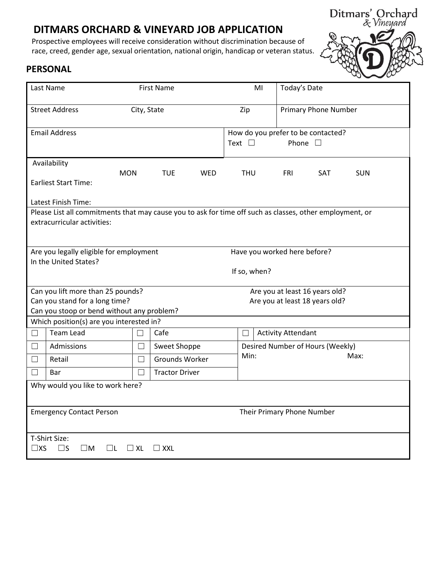# **DITMARS ORCHARD & VINEYARD JOB APPLICATION**

Prospective employees will receive consideration without discrimination because of race, creed, gender age, sexual orientation, national origin, handicap or veteran status.



## **PERSONAL**

|                                                                                                                                         | Last Name                                                           | <b>First Name</b> |                       |     |            | MI                                                                      | Today's Date              |                                |            |
|-----------------------------------------------------------------------------------------------------------------------------------------|---------------------------------------------------------------------|-------------------|-----------------------|-----|------------|-------------------------------------------------------------------------|---------------------------|--------------------------------|------------|
| <b>Street Address</b><br>City, State                                                                                                    |                                                                     |                   |                       | Zip |            | <b>Primary Phone Number</b>                                             |                           |                                |            |
| <b>Email Address</b>                                                                                                                    |                                                                     |                   |                       |     |            | How do you prefer to be contacted?<br>Phone $\square$<br>Text $\square$ |                           |                                |            |
|                                                                                                                                         | Availability                                                        |                   |                       |     |            |                                                                         |                           |                                |            |
|                                                                                                                                         | <b>MON</b><br><b>Earliest Start Time:</b>                           |                   | <b>TUE</b>            | WED | <b>THU</b> |                                                                         | <b>FRI</b>                | SAT                            | <b>SUN</b> |
| Latest Finish Time:                                                                                                                     |                                                                     |                   |                       |     |            |                                                                         |                           |                                |            |
| Please List all commitments that may cause you to ask for time off such as classes, other employment, or<br>extracurricular activities: |                                                                     |                   |                       |     |            |                                                                         |                           |                                |            |
| Are you legally eligible for employment<br>Have you worked here before?                                                                 |                                                                     |                   |                       |     |            |                                                                         |                           |                                |            |
| In the United States?<br>If so, when?                                                                                                   |                                                                     |                   |                       |     |            |                                                                         |                           |                                |            |
|                                                                                                                                         | Can you lift more than 25 pounds?<br>Are you at least 16 years old? |                   |                       |     |            |                                                                         |                           |                                |            |
|                                                                                                                                         | Can you stand for a long time?                                      |                   |                       |     |            |                                                                         |                           | Are you at least 18 years old? |            |
|                                                                                                                                         | Can you stoop or bend without any problem?                          |                   |                       |     |            |                                                                         |                           |                                |            |
|                                                                                                                                         | Which position(s) are you interested in?                            |                   |                       |     |            |                                                                         |                           |                                |            |
| $\Box$                                                                                                                                  | Team Lead                                                           | $\Box$            | Cafe                  |     | Ш          |                                                                         | <b>Activity Attendant</b> |                                |            |
| П                                                                                                                                       | Admissions                                                          | П                 | Sweet Shoppe          |     |            | Desired Number of Hours (Weekly)                                        |                           |                                |            |
| $\Box$                                                                                                                                  | Retail                                                              | П                 | Grounds Worker        |     | Min:       |                                                                         | Max:                      |                                |            |
| $\Box$                                                                                                                                  | Bar                                                                 | П                 | <b>Tractor Driver</b> |     |            |                                                                         |                           |                                |            |
| Why would you like to work here?                                                                                                        |                                                                     |                   |                       |     |            |                                                                         |                           |                                |            |
| <b>Emergency Contact Person</b>                                                                                                         |                                                                     |                   |                       |     |            | Their Primary Phone Number                                              |                           |                                |            |
| T-Shirt Size:<br>$\square$ XS<br>$\square$ s<br>ШM<br>$\sqcup$ XL<br>$\Box$ XXL<br>l IL.                                                |                                                                     |                   |                       |     |            |                                                                         |                           |                                |            |